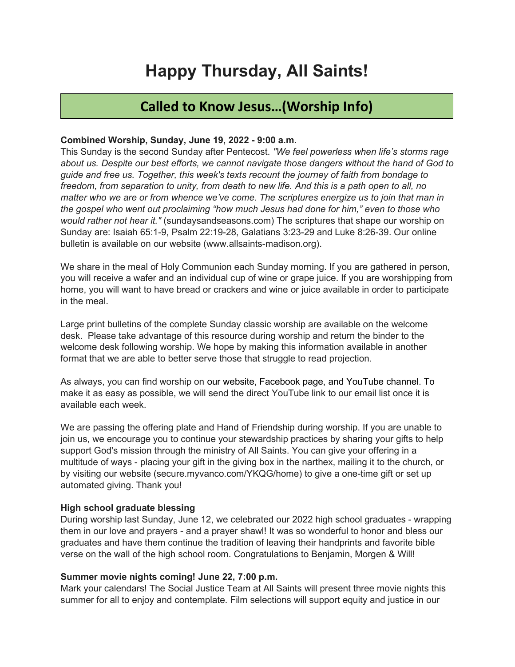# Happy Thursday, All Saints!

### Called to Know Jesus…(Worship Info)

#### Combined Worship, Sunday, June 19, 2022 - 9:00 a.m.

This Sunday is the second Sunday after Pentecost. "We feel powerless when life's storms rage about us. Despite our best efforts, we cannot navigate those dangers without the hand of God to guide and free us. Together, this week's texts recount the journey of faith from bondage to freedom, from separation to unity, from death to new life. And this is a path open to all, no matter who we are or from whence we've come. The scriptures energize us to join that man in the gospel who went out proclaiming "how much Jesus had done for him," even to those who would rather not hear it." (sundaysandseasons.com) The scriptures that shape our worship on Sunday are: Isaiah 65:1-9, Psalm 22:19-28, Galatians 3:23-29 and Luke 8:26-39. Our online bulletin is available on our website (www.allsaints-madison.org).

We share in the meal of Holy Communion each Sunday morning. If you are gathered in person, you will receive a wafer and an individual cup of wine or grape juice. If you are worshipping from home, you will want to have bread or crackers and wine or juice available in order to participate in the meal.

Large print bulletins of the complete Sunday classic worship are available on the welcome desk. Please take advantage of this resource during worship and return the binder to the welcome desk following worship. We hope by making this information available in another format that we are able to better serve those that struggle to read projection.

As always, you can find worship on our website, Facebook page, and YouTube channel. To make it as easy as possible, we will send the direct YouTube link to our email list once it is available each week.

We are passing the offering plate and Hand of Friendship during worship. If you are unable to join us, we encourage you to continue your stewardship practices by sharing your gifts to help support God's mission through the ministry of All Saints. You can give your offering in a multitude of ways - placing your gift in the giving box in the narthex, mailing it to the church, or by visiting our website (secure.myvanco.com/YKQG/home) to give a one-time gift or set up automated giving. Thank you!

#### High school graduate blessing

During worship last Sunday, June 12, we celebrated our 2022 high school graduates - wrapping them in our love and prayers - and a prayer shawl! It was so wonderful to honor and bless our graduates and have them continue the tradition of leaving their handprints and favorite bible verse on the wall of the high school room. Congratulations to Benjamin, Morgen & Will!

#### Summer movie nights coming! June 22, 7:00 p.m.

Mark your calendars! The Social Justice Team at All Saints will present three movie nights this summer for all to enjoy and contemplate. Film selections will support equity and justice in our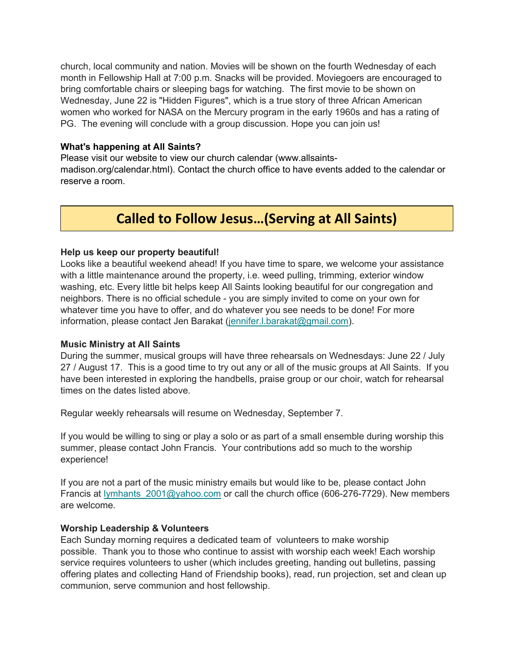church, local community and nation. Movies will be shown on the fourth Wednesday of each month in Fellowship Hall at 7:00 p.m. Snacks will be provided. Moviegoers are encouraged to bring comfortable chairs or sleeping bags for watching. The first movie to be shown on Wednesday, June 22 is "Hidden Figures", which is a true story of three African American women who worked for NASA on the Mercury program in the early 1960s and has a rating of PG. The evening will conclude with a group discussion. Hope you can join us!

#### What's happening at All Saints?

Please visit our website to view our church calendar (www.allsaintsmadison.org/calendar.html). Contact the church office to have events added to the calendar or reserve a room.

### Called to Follow Jesus…(Serving at All Saints)

#### Help us keep our property beautiful!

Looks like a beautiful weekend ahead! If you have time to spare, we welcome your assistance with a little maintenance around the property, i.e. weed pulling, trimming, exterior window washing, etc. Every little bit helps keep All Saints looking beautiful for our congregation and neighbors. There is no official schedule - you are simply invited to come on your own for whatever time you have to offer, and do whatever you see needs to be done! For more information, please contact Jen Barakat (jennifer.l.barakat@gmail.com).

#### Music Ministry at All Saints

During the summer, musical groups will have three rehearsals on Wednesdays: June 22 / July 27 / August 17. This is a good time to try out any or all of the music groups at All Saints. If you have been interested in exploring the handbells, praise group or our choir, watch for rehearsal times on the dates listed above.

Regular weekly rehearsals will resume on Wednesday, September 7.

If you would be willing to sing or play a solo or as part of a small ensemble during worship this summer, please contact John Francis. Your contributions add so much to the worship experience!

If you are not a part of the music ministry emails but would like to be, please contact John Francis at lymhants  $2001@$ yahoo.com or call the church office (606-276-7729). New members are welcome.

#### Worship Leadership & Volunteers

Each Sunday morning requires a dedicated team of volunteers to make worship possible. Thank you to those who continue to assist with worship each week! Each worship service requires volunteers to usher (which includes greeting, handing out bulletins, passing offering plates and collecting Hand of Friendship books), read, run projection, set and clean up communion, serve communion and host fellowship.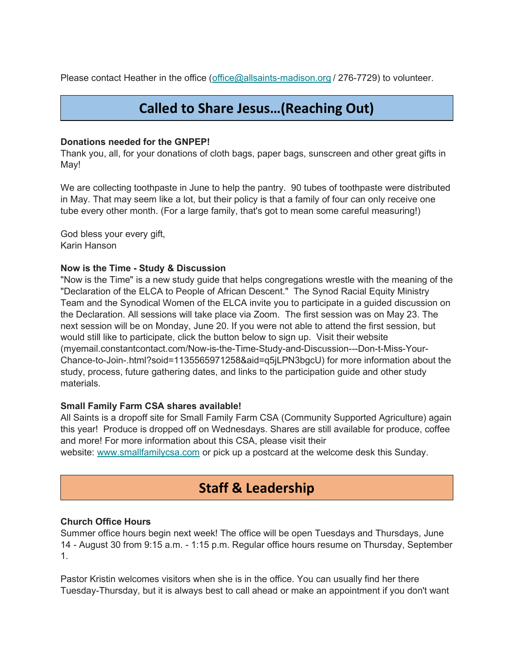Please contact Heather in the office (office  $\omega$ allsaints-madison.org / 276-7729) to volunteer.

# Called to Share Jesus…(Reaching Out)

#### Donations needed for the GNPEP!

Thank you, all, for your donations of cloth bags, paper bags, sunscreen and other great gifts in May!

We are collecting toothpaste in June to help the pantry. 90 tubes of toothpaste were distributed in May. That may seem like a lot, but their policy is that a family of four can only receive one tube every other month. (For a large family, that's got to mean some careful measuring!)

God bless your every gift, Karin Hanson

### Now is the Time - Study & Discussion

"Now is the Time" is a new study guide that helps congregations wrestle with the meaning of the "Declaration of the ELCA to People of African Descent." The Synod Racial Equity Ministry Team and the Synodical Women of the ELCA invite you to participate in a guided discussion on the Declaration. All sessions will take place via Zoom. The first session was on May 23. The next session will be on Monday, June 20. If you were not able to attend the first session, but would still like to participate, click the button below to sign up. Visit their website (myemail.constantcontact.com/Now-is-the-Time-Study-and-Discussion---Don-t-Miss-Your-Chance-to-Join-.html?soid=1135565971258&aid=q5jLPN3bgcU) for more information about the study, process, future gathering dates, and links to the participation guide and other study materials.

#### Small Family Farm CSA shares available!

All Saints is a dropoff site for Small Family Farm CSA (Community Supported Agriculture) again this year! Produce is dropped off on Wednesdays. Shares are still available for produce, coffee and more! For more information about this CSA, please visit their

website: www.smallfamilycsa.com or pick up a postcard at the welcome desk this Sunday.

# Staff & Leadership

### Church Office Hours

Summer office hours begin next week! The office will be open Tuesdays and Thursdays, June 14 - August 30 from 9:15 a.m. - 1:15 p.m. Regular office hours resume on Thursday, September 1.

Pastor Kristin welcomes visitors when she is in the office. You can usually find her there Tuesday-Thursday, but it is always best to call ahead or make an appointment if you don't want